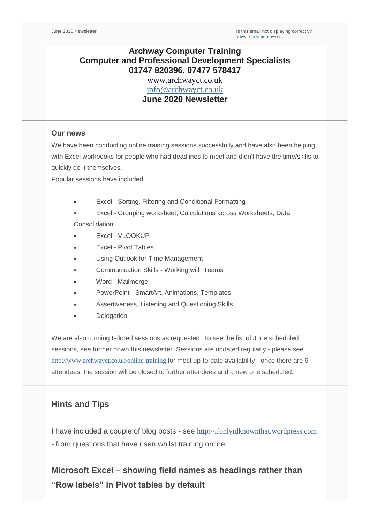June 2020 Newsletter **Is this email not displaying correctly**? [View it in your browser](https://us2.campaign-archive.com/?e=&u=57e6cd5c53ab47d556d5472c8&id=88ad9ba2ae).

# **Archway Computer Training Computer and Professional Development Specialists 01747 820396, 07477 578417**

[www.archwayct.co.uk](http://www.archwayct.co.uk/) [info@archwayct.co.uk](mailto:%20info@archwayct.co.uk) **June 2020 Newsletter**

### **Our news**

We have been conducting online training sessions successfully and have also been helping with Excel workbooks for people who had deadlines to meet and didn't have the time/skills to quickly do it themselves.

Popular sessions have included:

- Excel Sorting, Filtering and Conditional Formatting
- Excel Grouping worksheet, Calculations across Worksheets, Data Consolidation

- Excel VLOOKUP
- Excel Pivot Tables
- Using Outlook for Time Management
- Communication Skills Working with Teams
- Word Mailmerge
- PowerPoint SmartArt, Animations, Templates
- Assertiveness, Listening and Questioning Skills
- **Delegation**

We are also running tailored sessions as requested. To see the list of June scheduled sessions, see further down this newsletter. Sessions are updated regularly - please see <http://www.archwayct.co.uk/online-training> for most up-to-date availability - once there are 6 attendees, the session will be closed to further attendees and a new one scheduled.

## **Hints and Tips**

I have included a couple of blog posts - see [http://ifonlyidknownthat.wordpress.com](http://ifonlyidknownthat.wordpress.com/) - from questions that have risen whilst training online.

**Microsoft Excel – showing field names as headings rather than "Row labels" in Pivot tables by default**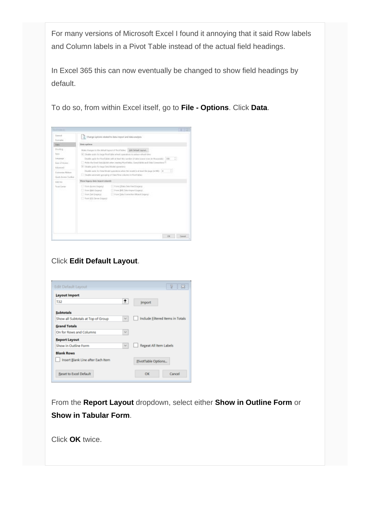For many versions of Microsoft Excel I found it annoying that it said Row labels and Column labels in a Pivot Table instead of the actual field headings.

In Excel 365 this can now eventually be changed to show field headings by default.

To do so, from within Excel itself, go to **File - Options**. Click **Data**.

| Tismont<br>Institutes                                                                                                                             | Change options related to data treport and data analysis                                                                                                                                                                                                                                                                                                                                                                                                                                                                                                                                                                                                                                                                                                                                                                                                  |
|---------------------------------------------------------------------------------------------------------------------------------------------------|-----------------------------------------------------------------------------------------------------------------------------------------------------------------------------------------------------------------------------------------------------------------------------------------------------------------------------------------------------------------------------------------------------------------------------------------------------------------------------------------------------------------------------------------------------------------------------------------------------------------------------------------------------------------------------------------------------------------------------------------------------------------------------------------------------------------------------------------------------------|
| Oak                                                                                                                                               | Data systems                                                                                                                                                                                                                                                                                                                                                                                                                                                                                                                                                                                                                                                                                                                                                                                                                                              |
| Preofeng.<br>Seve<br>Impiego -<br>Law of Atoms<br>Adventured.<br><b>Customers</b> Niskow<br>Dash Assess Tucket<br>AA3 dia<br><b>Touch Carrier</b> | Edit Default Lighted<br>Make changes to the default legeur of FloorTeblec.<br>In: Direkto ando fot large Plyntflable wheely specificate to police reflect time<br>B<br>Double up to find a short with at least this right for a faith is size week for thousand to [200]<br>The form the Entert State Education and the Physical Administration of Content Committees To<br>Dr. Daudie gedo for legal Data Model operations<br>Draskie capity for Hate Model spendman after the reculti is at least his bear to MO 10<br>Disable automatic grouping of Data/Time colorers to therifulder.<br>Woow begans chicke inspect to buyouts<br>- From Bases Expert<br>1.1 Frien OData Data Feed Excepts<br>Fines Blvh Leavest<br>Piece (Brd. Oaks Import Augusto)<br>L. Hon Set Separat<br>1. Frank Data Committees Michael Dragong-<br>T. From 50% Server Support |
|                                                                                                                                                   | Canada<br>CHE                                                                                                                                                                                                                                                                                                                                                                                                                                                                                                                                                                                                                                                                                                                                                                                                                                             |

# Click **Edit Default Layout**.

| Edit Default Layout                |                             |                               | <sup>8</sup><br>x                       |
|------------------------------------|-----------------------------|-------------------------------|-----------------------------------------|
| <b>Layout Import</b>               |                             |                               |                                         |
| <b>T32</b>                         | ÷                           | Import                        |                                         |
| <b>Subtotals</b>                   |                             |                               |                                         |
| Show all Subtotals at Top of Group | $\sim$                      |                               | <b>Include Filtered Items in Totals</b> |
| <b>Grand Totals</b>                |                             |                               |                                         |
| On for Rows and Columns            | $\mathcal{H}_{\mathcal{C}}$ |                               |                                         |
| <b>Report Layout</b>               |                             |                               |                                         |
| Show in Outline Form               | $\mathcal{H}^{\mathcal{S}}$ | <b>Regeat All Item Labels</b> |                                         |
| <b>Blank Rows</b>                  |                             |                               |                                         |
| Insert Blank Line after Each Item  |                             | PivotTable Options            |                                         |
| <b>Reset to Excel Default</b>      |                             | OK                            | Cancel                                  |

From the **Report Layout** dropdown, select either **Show in Outline Form** or **Show in Tabular Form**.

Click **OK** twice.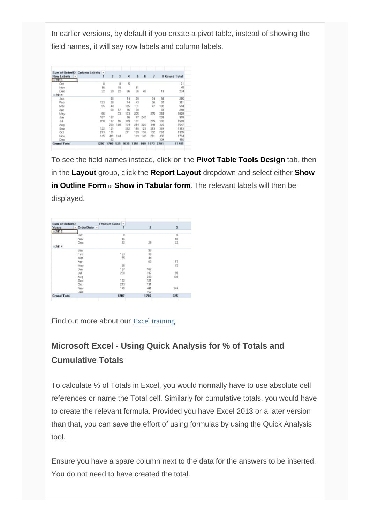In earlier versions, by default if you create a pivot table, instead of showing the field names, it will say row labels and column labels.

| Sum of OrderID          | Column Labels * |      |     |      |      |      |      |      |                      |
|-------------------------|-----------------|------|-----|------|------|------|------|------|----------------------|
| <b>Row Labels</b><br>l۳ | 1               | ž    | з   | 4    | 5    | 6    | 7    |      | <b>8 Grand Total</b> |
| $= 2013$                |                 |      |     |      |      |      |      |      |                      |
| 0et                     | 8               |      | 8   | 5    |      |      |      |      | 21                   |
| Nov                     | 16              |      | 18  |      | 11   |      |      |      | 45                   |
| Dec                     | 32              | 29   | 22  | 56   | 36   | 40   |      | 19   | 234                  |
| 2014                    |                 |      |     |      |      |      |      |      |                      |
| Jan                     |                 | 90   |     | 54   | 29   |      | 34   | 88   | 295                  |
| Feb                     | 123             | 38   |     | 74   | 43   |      | 36   | 37   | 351                  |
| Mar                     | 55              | 44   |     | 155  | 101  |      | 47   | 192  | 594                  |
| Αpr                     |                 | 60   | 57  | 56   | 58   |      |      | 59   | 250                  |
| May                     | 66              |      | 73  | 133  | 205  |      | 275  | 268  | 1020                 |
| Jun                     | 167             | 167  |     | 86   | 77   | 242  |      | 239  | 978                  |
| Jul                     | 200             | 197  | 95  | 389  | 181  |      | 275  | 191  | 1528                 |
| Aug                     |                 | 230  | 108 | 104  | 214  | 226  | 340  | 325  | 1547                 |
| Sep                     | 122             | 121  |     | 252  | 118  | 123  | 253  | 364  | 1353                 |
| Oct                     | 273             | 131  |     | 271  | 129  | 136  | 132  | 263  | 1335                 |
| Nov                     | 145             | 441  | 144 |      | 149  | 142  | 281  | 432  | 1734                 |
| Dec                     |                 | 152  |     |      |      |      |      | 304  | 456                  |
| <b>Grand Total</b>      | 1207            | 1700 | 525 | 1635 | 1351 | \$09 | 1673 | 2781 | 11781                |

To see the field names instead, click on the **Pivot Table Tools Design** tab, then in the **Layout** group, click the **Report Layout** dropdown and select either **Show in Outline Form** or **Show in Tabular form**. The relevant labels will then be displayed.

| Sum of OrderID     |                  | Product Code v |      |                |
|--------------------|------------------|----------------|------|----------------|
| Years              | OrderDate v<br>× | 1              | z    | $\overline{3}$ |
| $= 2013$           |                  |                |      |                |
|                    | <b>Oct</b>       | 8              |      | a              |
|                    | Nov              | 16             |      | 18             |
|                    | Dec              | 32             | 29   | 22             |
| $= 2014$           |                  |                |      |                |
|                    | Jan              |                | 90   |                |
|                    | Feb              | 123            | 38   |                |
|                    | Mar              | 55             | 44   |                |
|                    | Apr              |                | 60   | 57             |
|                    | May              | 66             |      | 73             |
|                    | Jun              | 167            | 167  |                |
|                    | Jul              | 200            | 197  | 95             |
|                    | Aug              |                | 230  | 108            |
|                    | Sep              | 122            | 121  |                |
|                    | 0ct              | 273            | 131  |                |
|                    | Nov              | 145            | 441  | 144            |
|                    | Dec              |                | 152  |                |
| <b>Grand Total</b> |                  | 1207           | 1700 | 525            |
|                    |                  |                |      |                |

Find out more about our **[Excel training](http://www.archwayct.co.uk/microsoft-office-training/microsoft-excel-training)** 

# **Microsoft Excel - Using Quick Analysis for % of Totals and Cumulative Totals**

To calculate % of Totals in Excel, you would normally have to use absolute cell references or name the Total cell. Similarly for cumulative totals, you would have to create the relevant formula. Provided you have Excel 2013 or a later version than that, you can save the effort of using formulas by using the Quick Analysis tool.

Ensure you have a spare column next to the data for the answers to be inserted. You do not need to have created the total.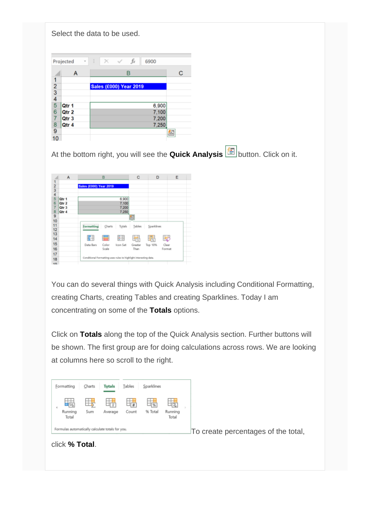|               | Projected<br>Ŧ   | fx<br>÷<br>×<br>$\checkmark$<br>6900 |   |
|---------------|------------------|--------------------------------------|---|
|               | А                | в                                    | с |
|               |                  |                                      |   |
|               |                  | <b>Sales (£000) Year 2019</b>        |   |
| $\frac{2}{3}$ |                  |                                      |   |
| 4             |                  |                                      |   |
| 5             | Qtr 1            | 6,900                                |   |
| 6             | Qtr <sub>2</sub> | 7,100                                |   |
| 7             | Qtr 3            | 7,200                                |   |
| 8             | Qtr 4            | 7,250                                |   |
| 9             |                  |                                      | Q |
| 10            |                  |                                      |   |

At the bottom right, you will see the **Quick Analysis**button. Click on it.

|               | A     |                                                                  | B      |          | C       | D          | Ε      |
|---------------|-------|------------------------------------------------------------------|--------|----------|---------|------------|--------|
| 1             |       |                                                                  |        |          |         |            |        |
| $\frac{2}{4}$ |       | Sales (£000) Year 2019                                           |        |          |         |            |        |
|               |       |                                                                  |        |          |         |            |        |
|               |       |                                                                  |        |          |         |            |        |
| 5             | Qtr 1 |                                                                  |        | 6,900    |         |            |        |
| 6             | Qtr 2 |                                                                  |        | 7.100    |         |            |        |
| 7             | Qtr 3 |                                                                  |        | 7.200    |         |            |        |
| 8             | Qtr 4 |                                                                  |        | 7.250    |         |            |        |
| 9             |       |                                                                  |        |          | 图       |            |        |
| 10            |       |                                                                  |        |          |         |            |        |
| 11            |       | Formatting                                                       | Charts | Tatals   | Tables  | Sparklines |        |
| 12            |       |                                                                  |        |          |         |            |        |
| 13            |       |                                                                  |        |          |         |            |        |
| 14            |       | m                                                                | ▬      | 桂        | 島       | 踝          | ŧ₹     |
| 15            |       | Data Bars                                                        | Color  | Icon Set | Greater | Top 10%    | Clear  |
| 16            |       |                                                                  | Scale  |          | Than    |            | Format |
|               |       |                                                                  |        |          |         |            |        |
| 17            |       | Conditional Formatting uses rules to highlight interesting data. |        |          |         |            |        |
| 18            |       |                                                                  |        |          |         |            |        |

You can do several things with Quick Analysis including Conditional Formatting, creating Charts, creating Tables and creating Sparklines. Today I am concentrating on some of the **Totals** options.

Click on **Totals** along the top of the Quick Analysis section. Further buttons will be shown. The first group are for doing calculations across rows. We are looking at columns here so scroll to the right.

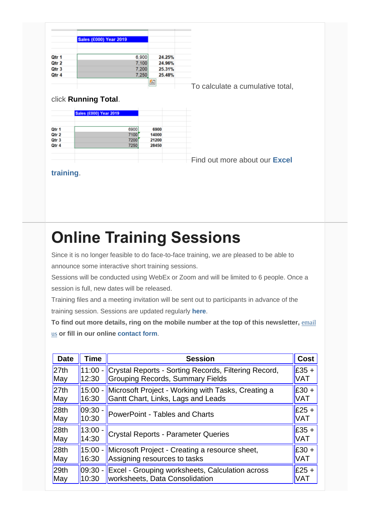|       | <b>Sales (£000) Year 2019</b> |        |
|-------|-------------------------------|--------|
|       |                               |        |
| Qtr 1 | 6.900                         | 24.25% |
| Qtr 2 | 7.100                         | 24.96% |
| Qtr 3 | 7,200                         | 25.31% |
| Qtr 4 | 7.250                         | 25.48% |

[T](https://ifonlyidknownthat.files.wordpress.com/2020/05/quick-analysis-4.png)o calculate a cumulative total,

# click **Running Total**.

|       | <b>Sales (£000) Year 2019</b> |       |  |
|-------|-------------------------------|-------|--|
| Qtr 1 | 6900                          | 6900  |  |
| Qtr 2 | 7100                          | 14000 |  |
| Qtr 3 | 7200                          | 21200 |  |
| Qtr 4 | 7250                          | 28450 |  |
|       |                               |       |  |
|       |                               |       |  |

[F](https://ifonlyidknownthat.files.wordpress.com/2020/05/quick-analysis-5.png)ind out more about our **[Excel](http://www.archwayct.co.uk/microsoft-office-training/microsoft-excel-training)** 

## **[training](http://www.archwayct.co.uk/microsoft-office-training/microsoft-excel-training)**.

# **Online Training Sessions**

Since it is no longer feasible to do face-to-face training, we are pleased to be able to announce some interactive short training sessions.

Sessions will be conducted using WebEx or Zoom and will be limited to 6 people. Once a session is full, new dates will be released.

Training files and a meeting invitation will be sent out to participants in advance of the training session. Sessions are updated regularly **[here](http://www.archwayct.co.uk/online-training)**.

**To find out more details, ring on the mobile number at the top of this newsletter,** [email](mailto:janet@archwayct.co.uk?subject=Online%20Training)  [us](mailto:janet@archwayct.co.uk?subject=Online%20Training) **or fill in our online [contact form](http://www.archwayct.co.uk/contact)**.

| <b>Date</b>      | Time       | <b>Session</b>                                         | <b>Cost</b> |
|------------------|------------|--------------------------------------------------------|-------------|
| 27th             | 11:00      | Crystal Reports - Sorting Records, Filtering Record,   | $E35 +$     |
| May              | 12:30      | <b>Grouping Records, Summary Fields</b>                | <b>VAT</b>  |
| 27th             | 15:00      | Microsoft Project - Working with Tasks, Creating a     | $E30 +$     |
| May              | 16:30      | Gantt Chart, Links, Lags and Leads                     | <b>VAT</b>  |
| 28 <sub>th</sub> | 09:30      | <b>PowerPoint - Tables and Charts</b>                  | $E25 +$     |
| May              | 10:30      |                                                        | <b>VAT</b>  |
| 28 <sub>th</sub> | 13:00 -    | <b>Crystal Reports - Parameter Queries</b>             | $E35 +$     |
| May              | 14:30      |                                                        | <b>VAT</b>  |
| 28 <sub>th</sub> | $15:00 -$  | Microsoft Project - Creating a resource sheet,         | $E30 +$     |
| May              | 16:30      | Assigning resources to tasks                           | <b>VAT</b>  |
| 29 <sub>th</sub> | $ 09:30 -$ | <b>Excel - Grouping worksheets, Calculation across</b> | $E25 +$     |
| May              | 10:30      | worksheets, Data Consolidation                         | <b>VAT</b>  |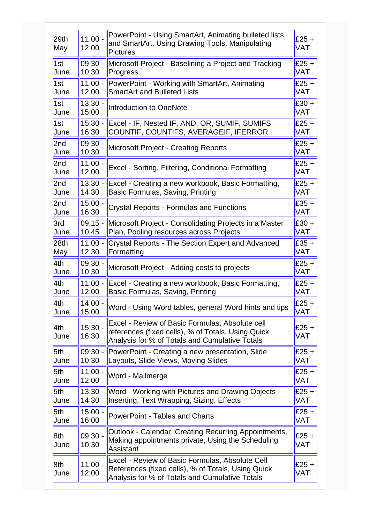| 29th<br>May      | 11:00 -<br>12:00   | PowerPoint - Using SmartArt, Animating bulleted lists<br>and SmartArt, Using Drawing Tools, Manipulating<br><b>Pictures</b>                             | $£25 +$<br><b>VAT</b> |
|------------------|--------------------|---------------------------------------------------------------------------------------------------------------------------------------------------------|-----------------------|
| 1st              | $09:30 -$          | Microsoft Project - Baselining a Project and Tracking                                                                                                   | $£25 +$               |
| June             | 10:30              | Progress                                                                                                                                                | VAT                   |
| 1st              | $11:00 -$          | PowerPoint - Working with SmartArt, Animating                                                                                                           | $£25 +$               |
| June             | 12:00              | <b>SmartArt and Bulleted Lists</b>                                                                                                                      | <b>VAT</b>            |
| 1st              | $13:30 -$          | Introduction to OneNote                                                                                                                                 | $£30 +$               |
| June             | 15:00              |                                                                                                                                                         | <b>VAT</b>            |
| 1st              | $15:30 -$          | Excel - IF, Nested IF, AND, OR, SUMIF, SUMIFS,                                                                                                          | $£25 +$               |
| June             | 16:30              | COUNTIF, COUNTIFS, AVERAGEIF, IFERROR                                                                                                                   | VAT                   |
| 2nd              | $09:30 -$          | <b>Microsoft Project - Creating Reports</b>                                                                                                             | $£25 +$               |
| June             | 10:30              |                                                                                                                                                         | VAT                   |
| 2nd              | $11:00 -$          | Excel - Sorting, Filtering, Conditional Formatting                                                                                                      | $£25 +$               |
| June             | 12:00              |                                                                                                                                                         | VAT                   |
| 2nd              | $13:30 -$          | Excel - Creating a new workbook, Basic Formatting,                                                                                                      | $£25 +$               |
| June             | 14:30              | Basic Formulas, Saving, Printing                                                                                                                        | <b>VAT</b>            |
| 2nd              | $15:00 -$          | <b>Crystal Reports - Formulas and Functions</b>                                                                                                         | $£35 +$               |
| June             | 16:30              |                                                                                                                                                         | VAT                   |
| 3rd              | $09:15 -$          | Microsoft Project - Consolidating Projects in a Master                                                                                                  | $£30 +$               |
| June             | 10:45              | Plan, Pooling resources across Projects                                                                                                                 | <b>VAT</b>            |
| 28 <sub>th</sub> | $11:00 -$          | Crystal Reports - The Section Expert and Advanced                                                                                                       | $£35 +$               |
| May              | 12:30              | Formatting                                                                                                                                              | VAT                   |
| 4th              | $09:30 -$          | Microsoft Project - Adding costs to projects                                                                                                            | $£25 +$               |
| June             | 10:30              |                                                                                                                                                         | VAT                   |
| 4th              | $11:00 -$          | Excel - Creating a new workbook, Basic Formatting,                                                                                                      | $£25 +$               |
| June             | 12:00              | Basic Formulas, Saving, Printing                                                                                                                        | VAT                   |
| 4th              | $14:00 -$          | Word - Using Word tables, general Word hints and tips                                                                                                   | $E25 +$               |
| June             | 15:00              |                                                                                                                                                         | <b>VAT</b>            |
| 4th<br>June      | 15:30 -<br>16:30   | Excel - Review of Basic Formulas, Absolute cell<br>references (fixed cells), % of Totals, Using Quick<br>Analysis for % of Totals and Cumulative Totals | $£25 +$<br><b>VAT</b> |
| 5th              | $09:30 -$          | PowerPoint - Creating a new presentation, Slide                                                                                                         | $£25 +$               |
| June             | 10:30              | Layouts, Slide Views, Moving Slides                                                                                                                     | <b>VAT</b>            |
| 5th              | $11:00 -$          | Word - Mailmerge                                                                                                                                        | $£25 +$               |
| June             | 12:00              |                                                                                                                                                         | <b>VAT</b>            |
| 5th              | $13:30 -$          | Word - Working with Pictures and Drawing Objects -                                                                                                      | $£25 +$               |
| June             | 14:30              | Inserting, Text Wrapping, Sizing, Effects                                                                                                               | VAT                   |
| 5th              | $15:00 -$          | <b>PowerPoint - Tables and Charts</b>                                                                                                                   | $£25 +$               |
| June             | 16:00              |                                                                                                                                                         | <b>VAT</b>            |
| 8th<br>June      | $09:30 -$<br>10:30 | Outlook - Calendar, Creating Recurring Appointments,<br>Making appointments private, Using the Scheduling<br><b>Assistant</b>                           | $£25 +$<br>VAT        |
| 8th<br>June      | $11:00 -$<br>12:00 | Excel - Review of Basic Formulas, Absolute Cell<br>References (fixed cells), % of Totals, Using Quick<br>Analysis for % of Totals and Cumulative Totals | $£25 +$<br>VAT        |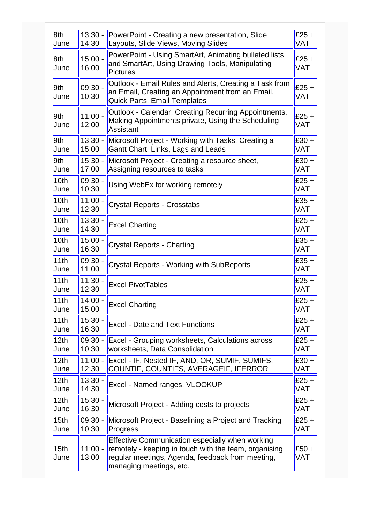| 8th              | $13:30 -$          | PowerPoint - Creating a new presentation, Slide                                                                                                                                         | $£25 +$               |
|------------------|--------------------|-----------------------------------------------------------------------------------------------------------------------------------------------------------------------------------------|-----------------------|
| June             | 14:30              | Layouts, Slide Views, Moving Slides                                                                                                                                                     | <b>VAT</b>            |
| 8th<br>June      | $15:00 -$<br>16:00 | PowerPoint - Using SmartArt, Animating bulleted lists<br>and SmartArt, Using Drawing Tools, Manipulating<br><b>Pictures</b>                                                             | $£25 +$<br>VAT        |
| 9th<br>June      | 09:30 -<br>10:30   | Outlook - Email Rules and Alerts, Creating a Task from<br>an Email, Creating an Appointment from an Email,<br><b>Quick Parts, Email Templates</b>                                       | $£25 +$<br>VAT        |
| 9th<br>June      | $11:00 -$<br>12:00 | Outlook - Calendar, Creating Recurring Appointments,<br>Making Appointments private, Using the Scheduling<br>Assistant                                                                  | $£25 +$<br><b>VAT</b> |
| 9th              | $13:30 -$          | Microsoft Project - Working with Tasks, Creating a                                                                                                                                      | $£30 +$               |
| June             | 15:00              | Gantt Chart, Links, Lags and Leads                                                                                                                                                      | <b>VAT</b>            |
| 9th              | $15:30 -$          | Microsoft Project - Creating a resource sheet,                                                                                                                                          | $£30 +$               |
| June             | 17:00              | Assigning resources to tasks                                                                                                                                                            | <b>VAT</b>            |
| 10 <sub>th</sub> | 09:30 -            | Using WebEx for working remotely                                                                                                                                                        | $£25 +$               |
| June             | 10:30              |                                                                                                                                                                                         | <b>VAT</b>            |
| 10 <sub>th</sub> | $11:00 -$          | <b>Crystal Reports - Crosstabs</b>                                                                                                                                                      | $£35 +$               |
| June             | 12:30              |                                                                                                                                                                                         | <b>VAT</b>            |
| 10th             | $13:30 -$          | <b>Excel Charting</b>                                                                                                                                                                   | $£25 +$               |
| June             | 14:30              |                                                                                                                                                                                         | <b>VAT</b>            |
| 10 <sub>th</sub> | $15:00 -$          | Crystal Reports - Charting                                                                                                                                                              | $£35 +$               |
| June             | 16:30              |                                                                                                                                                                                         | <b>VAT</b>            |
| 11th             | 09:30 -            | <b>Crystal Reports - Working with SubReports</b>                                                                                                                                        | $£35 +$               |
| June             | 11:00              |                                                                                                                                                                                         | VAT                   |
| 11th             | $11:30 -$          | <b>Excel PivotTables</b>                                                                                                                                                                | $£25 +$               |
| June             | 12:30              |                                                                                                                                                                                         | <b>VAT</b>            |
| 11th             | $14:00 -$          | <b>Excel Charting</b>                                                                                                                                                                   | $E25 +$               |
| June             | 15:00              |                                                                                                                                                                                         | <b>VAT</b>            |
| 11th             | $15:30 -$          | <b>Excel - Date and Text Functions</b>                                                                                                                                                  | $£25 +$               |
| June             | 16:30              |                                                                                                                                                                                         | <b>VAT</b>            |
| 12 <sub>th</sub> | $09:30 -$          | Excel - Grouping worksheets, Calculations across                                                                                                                                        | $£25 +$               |
| June             | 10:30              | worksheets, Data Consolidation                                                                                                                                                          | <b>VAT</b>            |
| 12 <sub>th</sub> | $11:00 -$          | Excel - IF, Nested IF, AND, OR, SUMIF, SUMIFS,                                                                                                                                          | $£30 +$               |
| June             | 12:30              | COUNTIF, COUNTIFS, AVERAGEIF, IFERROR                                                                                                                                                   | VAT                   |
| 12 <sub>th</sub> | $13:30 -$          | Excel - Named ranges, VLOOKUP                                                                                                                                                           | $£25 +$               |
| June             | 14:30              |                                                                                                                                                                                         | <b>VAT</b>            |
| 12th             | $15:30 -$          | Microsoft Project - Adding costs to projects                                                                                                                                            | $£25 +$               |
| June             | 16:30              |                                                                                                                                                                                         | VAT                   |
| 15 <sub>th</sub> | 09:30 -            | Microsoft Project - Baselining a Project and Tracking                                                                                                                                   | $£25 +$               |
| June             | 10:30              | Progress                                                                                                                                                                                | VAT                   |
| 15th<br>June     | $11:00 -$<br>13:00 | Effective Communication especially when working<br>remotely - keeping in touch with the team, organising<br>regular meetings, Agenda, feedback from meeting,<br>managing meetings, etc. | $£50 +$<br>VAT        |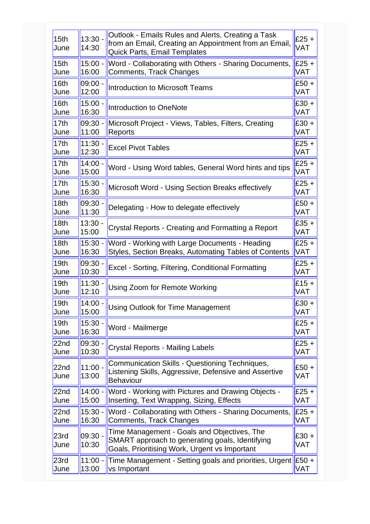| 15 <sub>th</sub><br>June | $13:30 -$<br>14:30 | Outlook - Emails Rules and Alerts, Creating a Task<br>from an Email, Creating an Appointment from an Email,<br>Quick Parts, Email Templates     | $£25 +$<br><b>VAT</b> |
|--------------------------|--------------------|-------------------------------------------------------------------------------------------------------------------------------------------------|-----------------------|
| 15 <sub>th</sub>         | $15:00 -$          | Word - Collaborating with Others - Sharing Documents,                                                                                           | $E25 +$               |
| June                     | 16:00              | Comments, Track Changes                                                                                                                         | <b>VAT</b>            |
| 16th                     | $09:00 -$          | <b>Introduction to Microsoft Teams</b>                                                                                                          | $£50 +$               |
| June                     | 12:00              |                                                                                                                                                 | <b>VAT</b>            |
| 16th                     | $15:00 -$          | <b>Introduction to OneNote</b>                                                                                                                  | $£30 +$               |
| June                     | 16:30              |                                                                                                                                                 | <b>VAT</b>            |
| 17th                     | $09:30 -$          | Microsoft Project - Views, Tables, Filters, Creating                                                                                            | $£30 +$               |
| June                     | 11:00              | Reports                                                                                                                                         | <b>VAT</b>            |
| 17 <sub>th</sub>         | $11:30 -$          | <b>Excel Pivot Tables</b>                                                                                                                       | $£25 +$               |
| June                     | 12:30              |                                                                                                                                                 | VAT                   |
| 17th                     | $14:00 -$          | Word - Using Word tables, General Word hints and tips                                                                                           | $£25 +$               |
| June                     | 15:00              |                                                                                                                                                 | <b>VAT</b>            |
| 17 <sub>th</sub>         | $15:30 -$          | Microsoft Word - Using Section Breaks effectively                                                                                               | $£25 +$               |
| June                     | 16:30              |                                                                                                                                                 | <b>VAT</b>            |
| 18 <sub>th</sub>         | $09:30 -$          | Delegating - How to delegate effectively                                                                                                        | $£50 +$               |
| June                     | 11:30              |                                                                                                                                                 | <b>VAT</b>            |
| 18 <sub>th</sub>         | $13:30 -$          | Crystal Reports - Creating and Formatting a Report                                                                                              | $£35 +$               |
| June                     | 15:00              |                                                                                                                                                 | VAT                   |
| 18 <sub>th</sub>         | $15:30 -$          | Word - Working with Large Documents - Heading                                                                                                   | $£25 +$               |
| June                     | 16:30              | Styles, Section Breaks, Automating Tables of Contents                                                                                           | <b>VAT</b>            |
| 19 <sub>th</sub>         | $09:30 -$          | Excel - Sorting, Filtering, Conditional Formatting                                                                                              | $£25 +$               |
| June                     | 10:30              |                                                                                                                                                 | <b>VAT</b>            |
| 19 <sub>th</sub>         | $11:30 -$          | Using Zoom for Remote Working                                                                                                                   | $£15 +$               |
| June                     | 12:10              |                                                                                                                                                 | <b>VAT</b>            |
| 19th                     | $14:00 -$          | Using Outlook for Time Management                                                                                                               | $E30 +$               |
| June                     | 15:00              |                                                                                                                                                 | <b>VAT</b>            |
| 19 <sub>th</sub>         | $15:30 -$          | Word - Mailmerge                                                                                                                                | $£25 +$               |
| June                     | 16:30              |                                                                                                                                                 | <b>VAT</b>            |
| 22nd                     | $09:30 -$          | <b>Crystal Reports - Mailing Labels</b>                                                                                                         | $£25 +$               |
| June                     | 10:30              |                                                                                                                                                 | <b>VAT</b>            |
| 22 <sub>nd</sub><br>June | $11:00 -$<br>13:00 | Communication Skills - Questioning Techniques,<br>Listening Skills, Aggressive, Defensive and Assertive<br><b>Behaviour</b>                     | $£50 +$<br>VAT        |
| 22nd                     | $14:00 -$          | Word - Working with Pictures and Drawing Objects -                                                                                              | $£25 +$               |
| June                     | 15:00              | Inserting, Text Wrapping, Sizing, Effects                                                                                                       | VAT                   |
| 22nd                     | $15:30 -$          | Word - Collaborating with Others - Sharing Documents,                                                                                           | $E25 +$               |
| June                     | 16:30              | Comments, Track Changes                                                                                                                         | <b>VAT</b>            |
| 23rd<br>June             | $09:30 -$<br>10:30 | Time Management - Goals and Objectives, The<br>SMART approach to generating goals, Identifying<br>Goals, Prioritising Work, Urgent vs Important | $£30 +$<br>VAT        |
| 23rd                     | $11:00 -$          | Time Management - Setting goals and priorities, Urgent E50 +                                                                                    | <b>VAT</b>            |
| June                     | 13:00              | vs Important                                                                                                                                    |                       |
|                          |                    |                                                                                                                                                 |                       |